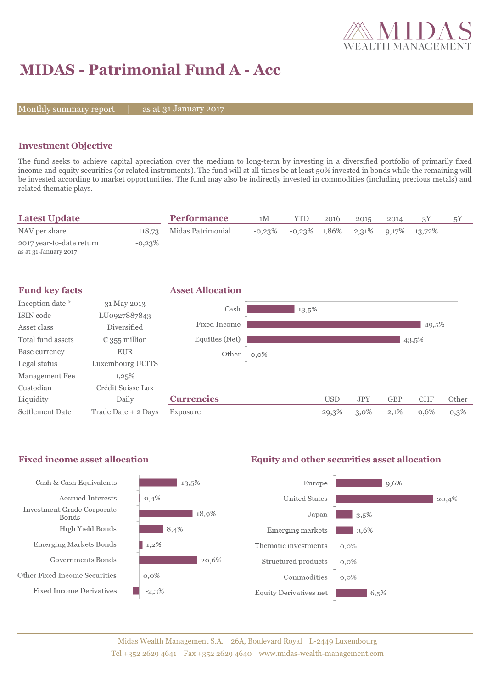

## **MIDAS - Patrimonial Fund A - Acc**

Monthly summary report  $|$ 

31 January 2017

#### **Investment Objective**

The fund seeks to achieve capital apreciation over the medium to long-term by investing in a diversified portfolio of primarily fixed income and equity securities (or related instruments). The fund will at all times be at least 50% invested in bonds while the remaining will be invested according to market opportunities. The fund may also be indirectly invested in commodities (including precious metals) and related thematic plays.

| <b>Latest Update</b>                              |           | <b>Performance</b> | 1М        | YTD             | 2016 | 2015 | 2014 |                    | 5Y |
|---------------------------------------------------|-----------|--------------------|-----------|-----------------|------|------|------|--------------------|----|
| NAV per share                                     | 118.73    | Midas Patrimonial  | $-0.23\%$ | $-0.23\%$ 1,86% |      |      |      | 2,31% 9,17% 13,72% |    |
| 2017 year-to-date return<br>as at 31 January 2017 | $-0.23\%$ |                    |           |                 |      |      |      |                    |    |





# $13.5\%$  $18,9%$  $8,4%$  $120.6\%$

#### Fixed income asset allocation **Equity and other securities asset allocation**

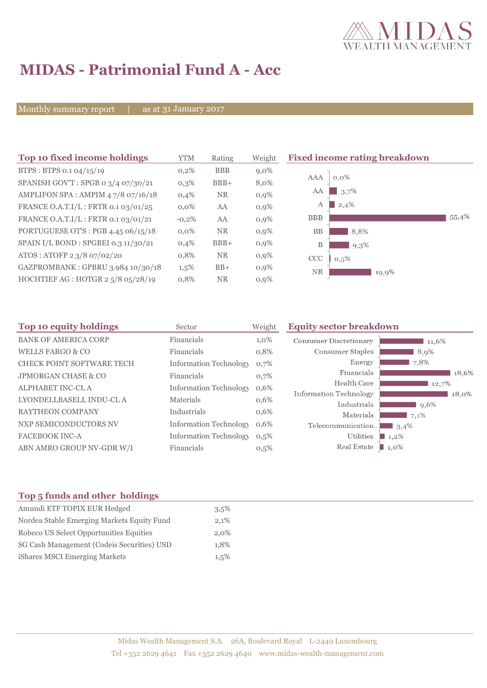

## **MIDAS - Patrimonial Fund A - Acc**

Monthly summary report | as at 31 January 2017

| Top 10 fixed income holdings         | YTM     | Rating     | Weight  | <b>Fixed income rating breakdown</b> |
|--------------------------------------|---------|------------|---------|--------------------------------------|
| BTPS: BTPS 0.1 04/15/19              | 0,2%    | <b>BBB</b> | $9,0\%$ |                                      |
| SPANISH GOV'T: SPGB 0 3/4 07/30/21   | $0,3\%$ | $BBB+$     | 8,0%    | $0,0\%$<br>AAA                       |
| AMPLIFON SPA: AMPIM 47/8 07/16/18    | 0,4%    | <b>NR</b>  | $0,9\%$ | 3,7%<br>AA                           |
| FRANCE O.A.T.I/L: FRTR 0.1 03/01/25  | $0.0\%$ | AA         | $0,9\%$ | 2,4%<br>А                            |
| FRANCE O.A.T.I/L: FRTR 0.1 03/01/21  | $-0,2%$ | AA         | 0,9%    | 55,4%<br><b>BBB</b>                  |
| PORTUGUESE OT'S : PGB 4.45 06/15/18  | $0.0\%$ | <b>NR</b>  | $0,9\%$ | <b>BB</b><br>8,8%                    |
| SPAIN I/L BOND : SPGBEI 0.3 11/30/21 | 0,4%    | $BBB+$     | $0,9\%$ | B<br>9,3%                            |
| ATOS: ATOFP 2 3/8 07/02/20           | 0,8%    | <b>NR</b>  | $0,9\%$ | CCC<br>0.5%                          |
| GAZPROMBANK: GPBRU 3.984 10/30/18    | $1,5\%$ | $BB+$      | $0,9\%$ | <b>NR</b><br>19,9%                   |
| HOCHTIEF AG : HOTGR 2 5/8 05/28/19   | 0,8%    | <b>NR</b>  | $0,9\%$ |                                      |

| Top 10 equity holdings           | Sector                        | Weight  | <b>Equity sector breakdown</b>        |                 |  |  |
|----------------------------------|-------------------------------|---------|---------------------------------------|-----------------|--|--|
| <b>BANK OF AMERICA CORP</b>      | Financials                    | $1,0\%$ | Consumer Discretionary                | 11,6%           |  |  |
| <b>WELLS FARGO &amp; CO</b>      | Financials                    | 0,8%    | Consumer Staples                      | 8,9%            |  |  |
| <b>CHECK POINT SOFTWARE TECH</b> | <b>Information Technology</b> | 0,7%    | Energy                                | 7,8%            |  |  |
| <b>JPMORGAN CHASE &amp; CO</b>   | Financials                    | 0,7%    | Financials                            | 18,6%           |  |  |
| ALPHABET INC-CLA                 | <b>Information Technology</b> | 0,6%    | Health Care                           | 12,7%           |  |  |
| LYONDELLBASELL INDU-CL A         | <b>Materials</b>              | 0,6%    | Information Technology<br>Industrials | 18.0%           |  |  |
| <b>RAYTHEON COMPANY</b>          | Industrials                   | 0,6%    | Materials                             | $9,6\%$<br>7,1% |  |  |
| NXP SEMICONDUCTORS NV            | <b>Information Technology</b> | 0,6%    | Telecommunication                     | $\Box$ 3.4%     |  |  |
| <b>FACEBOOK INC-A</b>            | <b>Information Technology</b> | 0,5%    | Utilities                             | $1,2\%$         |  |  |
| ABN AMRO GROUP NV-GDR W/I        | Financials                    | 0,5%    | Real Estate                           | 1,0%            |  |  |

### **Top 5 funds and other holdings**

| Amundi ETF TOPIX EUR Hedged                | $3.5\%$ |
|--------------------------------------------|---------|
| Nordea Stable Emerging Markets Equity Fund | 2,1%    |
| Robeco US Select Opportunities Equities    | 2,0%    |
| SG Cash Management (Codeis Securities) USD | 1.8%    |
| iShares MSCI Emerging Markets              | $1.5\%$ |